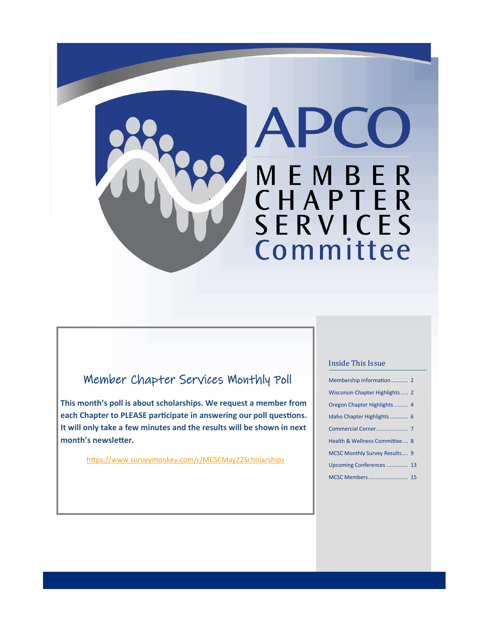

## Member Chapter Services Monthly Poll

**This month's poll is about scholarships. We request a member from each Chapter to PLEASE participate in answering our poll questions. It will only take a few minutes and the results will be shown in next month's newsletter.**

<https://www.surveymonkey.com/r/MCSCMay22Scholarships>

#### Inside This Issue

| Membership Information  2             |  |
|---------------------------------------|--|
| <b>Wisconsin Chapter Highlights 2</b> |  |
| Oregon Chapter Highlights  4          |  |
| Idaho Chapter Highlights  6           |  |
|                                       |  |
| Health & Wellness Committee 8         |  |
| MCSC Monthly Survey Results 9         |  |
| Upcoming Conferences  13              |  |
| MCSC Members 15                       |  |
|                                       |  |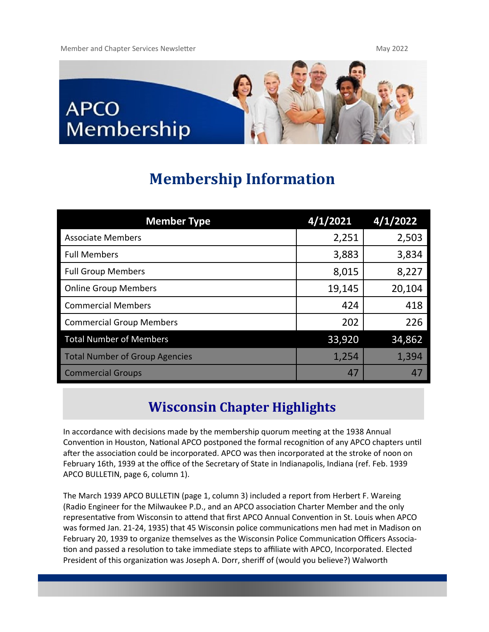

# **Membership Information**

| <b>Member Type</b>                    | 4/1/2021 | 4/1/2022 |
|---------------------------------------|----------|----------|
| <b>Associate Members</b>              | 2,251    | 2,503    |
| <b>Full Members</b>                   | 3,883    | 3,834    |
| <b>Full Group Members</b>             | 8,015    | 8,227    |
| <b>Online Group Members</b>           | 19,145   | 20,104   |
| <b>Commercial Members</b>             | 424      | 418      |
| <b>Commercial Group Members</b>       | 202      | 226      |
| <b>Total Number of Members</b>        | 33,920   | 34,862   |
| <b>Total Number of Group Agencies</b> | 1,254    | 1,394    |
| <b>Commercial Groups</b>              | 47       | 47       |

# **Wisconsin Chapter Highlights**

In accordance with decisions made by the membership quorum meeting at the 1938 Annual Convention in Houston, National APCO postponed the formal recognition of any APCO chapters until after the association could be incorporated. APCO was then incorporated at the stroke of noon on February 16th, 1939 at the office of the Secretary of State in Indianapolis, Indiana (ref. Feb. 1939 APCO BULLETIN, page 6, column 1).

The March 1939 APCO BULLETIN (page 1, column 3) included a report from Herbert F. Wareing (Radio Engineer for the Milwaukee P.D., and an APCO association Charter Member and the only representative from Wisconsin to attend that first APCO Annual Convention in St. Louis when APCO was formed Jan. 21-24, 1935) that 45 Wisconsin police communications men had met in Madison on February 20, 1939 to organize themselves as the Wisconsin Police Communication Officers Association and passed a resolution to take immediate steps to affiliate with APCO, Incorporated. Elected President of this organization was Joseph A. Dorr, sheriff of (would you believe?) Walworth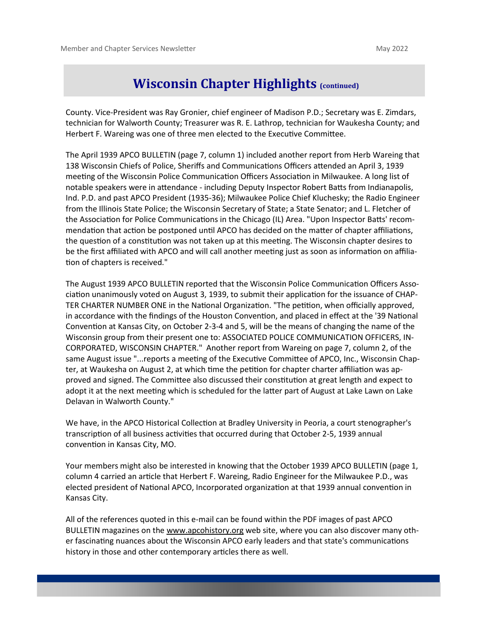### **Wisconsin Chapter Highlights (continued)**

County. Vice-President was Ray Gronier, chief engineer of Madison P.D.; Secretary was E. Zimdars, technician for Walworth County; Treasurer was R. E. Lathrop, technician for Waukesha County; and Herbert F. Wareing was one of three men elected to the Executive Committee.

The April 1939 APCO BULLETIN (page 7, column 1) included another report from Herb Wareing that 138 Wisconsin Chiefs of Police, Sheriffs and Communications Officers attended an April 3, 1939 meeting of the Wisconsin Police Communication Officers Association in Milwaukee. A long list of notable speakers were in attendance - including Deputy Inspector Robert Batts from Indianapolis, Ind. P.D. and past APCO President (1935-36); Milwaukee Police Chief Kluchesky; the Radio Engineer from the Illinois State Police; the Wisconsin Secretary of State; a State Senator; and L. Fletcher of the Association for Police Communications in the Chicago (IL) Area. "Upon Inspector Batts' recommendation that action be postponed until APCO has decided on the matter of chapter affiliations, the question of a constitution was not taken up at this meeting. The Wisconsin chapter desires to be the first affiliated with APCO and will call another meeting just as soon as information on affiliation of chapters is received."

The August 1939 APCO BULLETIN reported that the Wisconsin Police Communication Officers Association unanimously voted on August 3, 1939, to submit their application for the issuance of CHAP-TER CHARTER NUMBER ONE in the National Organization. "The petition, when officially approved, in accordance with the findings of the Houston Convention, and placed in effect at the '39 National Convention at Kansas City, on October 2-3-4 and 5, will be the means of changing the name of the Wisconsin group from their present one to: ASSOCIATED POLICE COMMUNICATION OFFICERS, IN-CORPORATED, WISCONSIN CHAPTER." Another report from Wareing on page 7, column 2, of the same August issue "...reports a meeting of the Executive Committee of APCO, Inc., Wisconsin Chapter, at Waukesha on August 2, at which time the petition for chapter charter affiliation was approved and signed. The Committee also discussed their constitution at great length and expect to adopt it at the next meeting which is scheduled for the latter part of August at Lake Lawn on Lake Delavan in Walworth County."

We have, in the APCO Historical Collection at Bradley University in Peoria, a court stenographer's transcription of all business activities that occurred during that October 2-5, 1939 annual convention in Kansas City, MO.

Your members might also be interested in knowing that the October 1939 APCO BULLETIN (page 1, column 4 carried an article that Herbert F. Wareing, Radio Engineer for the Milwaukee P.D., was elected president of National APCO, Incorporated organization at that 1939 annual convention in Kansas City.

All of the references quoted in this e-mail can be found within the PDF images of past APCO BULLETIN magazines on the [www.apcohistory.org w](http://www.apcohistory.org)eb site, where you can also discover many other fascinating nuances about the Wisconsin APCO early leaders and that state's communications history in those and other contemporary articles there as well.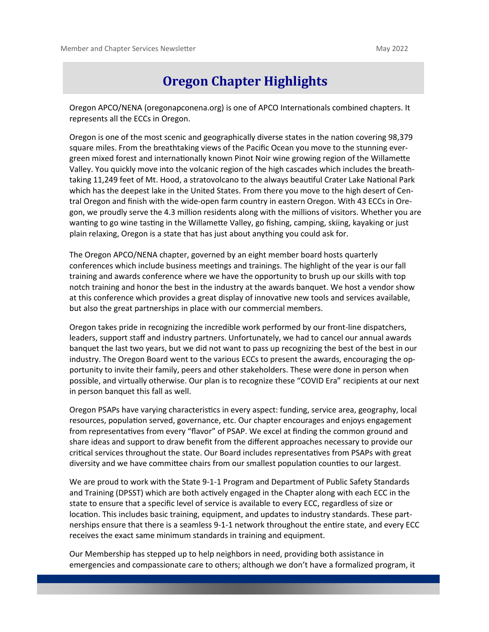### **Oregon Chapter Highlights**

Oregon APCO/NENA (oregonapconena.org) is one of APCO Internationals combined chapters. It represents all the ECCs in Oregon.

Oregon is one of the most scenic and geographically diverse states in the nation covering 98,379 square miles. From the breathtaking views of the Pacific Ocean you move to the stunning evergreen mixed forest and internationally known Pinot Noir wine growing region of the Willamette Valley. You quickly move into the volcanic region of the high cascades which includes the breathtaking 11,249 feet of Mt. Hood, a stratovolcano to the always beautiful Crater Lake National Park which has the deepest lake in the United States. From there you move to the high desert of Central Oregon and finish with the wide-open farm country in eastern Oregon. With 43 ECCs in Oregon, we proudly serve the 4.3 million residents along with the millions of visitors. Whether you are wanting to go wine tasting in the Willamette Valley, go fishing, camping, skiing, kayaking or just plain relaxing, Oregon is a state that has just about anything you could ask for.

The Oregon APCO/NENA chapter, governed by an eight member board hosts quarterly conferences which include business meetings and trainings. The highlight of the year is our fall training and awards conference where we have the opportunity to brush up our skills with top notch training and honor the best in the industry at the awards banquet. We host a vendor show at this conference which provides a great display of innovative new tools and services available, but also the great partnerships in place with our commercial members.

Oregon takes pride in recognizing the incredible work performed by our front-line dispatchers, leaders, support staff and industry partners. Unfortunately, we had to cancel our annual awards banquet the last two years, but we did not want to pass up recognizing the best of the best in our industry. The Oregon Board went to the various ECCs to present the awards, encouraging the opportunity to invite their family, peers and other stakeholders. These were done in person when possible, and virtually otherwise. Our plan is to recognize these "COVID Era" recipients at our next in person banquet this fall as well.

Oregon PSAPs have varying characteristics in every aspect: funding, service area, geography, local resources, population served, governance, etc. Our chapter encourages and enjoys engagement from representatives from every "flavor" of PSAP. We excel at finding the common ground and share ideas and support to draw benefit from the different approaches necessary to provide our critical services throughout the state. Our Board includes representatives from PSAPs with great diversity and we have committee chairs from our smallest population counties to our largest.

We are proud to work with the State 9-1-1 Program and Department of Public Safety Standards and Training (DPSST) which are both actively engaged in the Chapter along with each ECC in the state to ensure that a specific level of service is available to every ECC, regardless of size or location. This includes basic training, equipment, and updates to industry standards. These partnerships ensure that there is a seamless 9-1-1 network throughout the entire state, and every ECC receives the exact same minimum standards in training and equipment.

Our Membership has stepped up to help neighbors in need, providing both assistance in emergencies and compassionate care to others; although we don't have a formalized program, it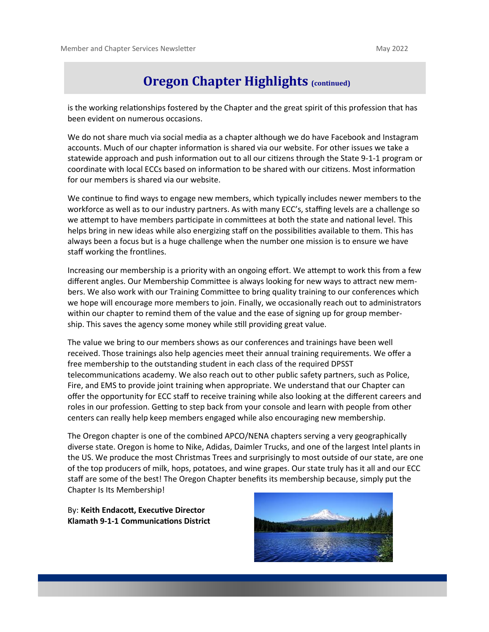#### **Oregon Chapter Highlights (continued)**

is the working relationships fostered by the Chapter and the great spirit of this profession that has been evident on numerous occasions.

We do not share much via social media as a chapter although we do have Facebook and Instagram accounts. Much of our chapter information is shared via our website. For other issues we take a statewide approach and push information out to all our citizens through the State 9-1-1 program or coordinate with local ECCs based on information to be shared with our citizens. Most information for our members is shared via our website.

We continue to find ways to engage new members, which typically includes newer members to the workforce as well as to our industry partners. As with many ECC's, staffing levels are a challenge so we attempt to have members participate in committees at both the state and national level. This helps bring in new ideas while also energizing staff on the possibilities available to them. This has always been a focus but is a huge challenge when the number one mission is to ensure we have staff working the frontlines.

Increasing our membership is a priority with an ongoing effort. We attempt to work this from a few different angles. Our Membership Committee is always looking for new ways to attract new members. We also work with our Training Committee to bring quality training to our conferences which we hope will encourage more members to join. Finally, we occasionally reach out to administrators within our chapter to remind them of the value and the ease of signing up for group membership. This saves the agency some money while still providing great value.

The value we bring to our members shows as our conferences and trainings have been well received. Those trainings also help agencies meet their annual training requirements. We offer a free membership to the outstanding student in each class of the required DPSST telecommunications academy. We also reach out to other public safety partners, such as Police, Fire, and EMS to provide joint training when appropriate. We understand that our Chapter can offer the opportunity for ECC staff to receive training while also looking at the different careers and roles in our profession. Getting to step back from your console and learn with people from other centers can really help keep members engaged while also encouraging new membership.

The Oregon chapter is one of the combined APCO/NENA chapters serving a very geographically diverse state. Oregon is home to Nike, Adidas, Daimler Trucks, and one of the largest Intel plants in the US. We produce the most Christmas Trees and surprisingly to most outside of our state, are one of the top producers of milk, hops, potatoes, and wine grapes. Our state truly has it all and our ECC staff are some of the best! The Oregon Chapter benefits its membership because, simply put the Chapter Is Its Membership!

By: **Keith Endacott, Executive Director Klamath 9-1-1 Communications District**

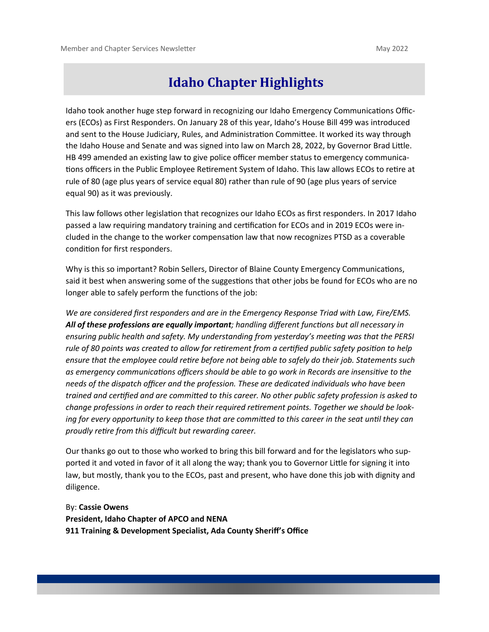## **Idaho Chapter Highlights**

Idaho took another huge step forward in recognizing our Idaho Emergency Communications Officers (ECOs) as First Responders. On January 28 of this year, Idaho's House Bill 499 was introduced and sent to the House Judiciary, Rules, and Administration Committee. It worked its way through the Idaho House and Senate and was signed into law on March 28, 2022, by Governor Brad Little. HB 499 amended an existing law to give police officer member status to emergency communications officers in the Public Employee Retirement System of Idaho. This law allows ECOs to retire at rule of 80 (age plus years of service equal 80) rather than rule of 90 (age plus years of service equal 90) as it was previously.

This law follows other legislation that recognizes our Idaho ECOs as first responders. In 2017 Idaho passed a law requiring mandatory training and certification for ECOs and in 2019 ECOs were included in the change to the worker compensation law that now recognizes PTSD as a coverable condition for first responders.

Why is this so important? Robin Sellers, Director of Blaine County Emergency Communications, said it best when answering some of the suggestions that other jobs be found for ECOs who are no longer able to safely perform the functions of the job:

*We are considered first responders and are in the Emergency Response Triad with Law, Fire/EMS. All of these professions are equally important; handling different functions but all necessary in ensuring public health and safety. My understanding from yesterday's meeting was that the PERSI rule of 80 points was created to allow for retirement from a certified public safety position to help ensure that the employee could retire before not being able to safely do their job. Statements such as emergency communications officers should be able to go work in Records are insensitive to the needs of the dispatch officer and the profession. These are dedicated individuals who have been trained and certified and are committed to this career. No other public safety profession is asked to change professions in order to reach their required retirement points. Together we should be looking for every opportunity to keep those that are committed to this career in the seat until they can proudly retire from this difficult but rewarding career.* 

Our thanks go out to those who worked to bring this bill forward and for the legislators who supported it and voted in favor of it all along the way; thank you to Governor Little for signing it into law, but mostly, thank you to the ECOs, past and present, who have done this job with dignity and diligence.

By: **Cassie Owens President, Idaho Chapter of APCO and NENA 911 Training & Development Specialist, Ada County Sheriff's Office**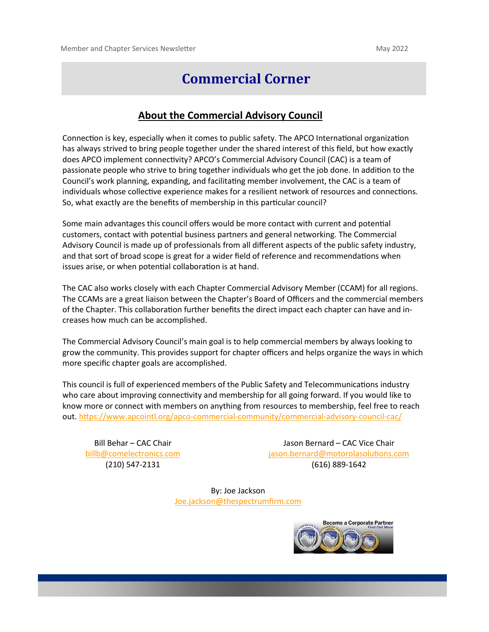# **Commercial Corner**

#### **About the Commercial Advisory Council**

Connection is key, especially when it comes to public safety. The APCO International organization has always strived to bring people together under the shared interest of this field, but how exactly does APCO implement connectivity? APCO's Commercial Advisory Council (CAC) is a team of passionate people who strive to bring together individuals who get the job done. In addition to the Council's work planning, expanding, and facilitating member involvement, the CAC is a team of individuals whose collective experience makes for a resilient network of resources and connections. So, what exactly are the benefits of membership in this particular council?

Some main advantages this council offers would be more contact with current and potential customers, contact with potential business partners and general networking. The Commercial Advisory Council is made up of professionals from all different aspects of the public safety industry, and that sort of broad scope is great for a wider field of reference and recommendations when issues arise, or when potential collaboration is at hand.

The CAC also works closely with each Chapter Commercial Advisory Member (CCAM) for all regions. The CCAMs are a great liaison between the Chapter's Board of Officers and the commercial members of the Chapter. This collaboration further benefits the direct impact each chapter can have and increases how much can be accomplished.

The Commercial Advisory Council's main goal is to help commercial members by always looking to grow the community. This provides support for chapter officers and helps organize the ways in which more specific chapter goals are accomplished.

This council is full of experienced members of the Public Safety and Telecommunications industry who care about improving connectivity and membership for all going forward. If you would like to know more or connect with members on anything from resources to membership, feel free to reach out. [https://www.apcointl.org/apco](https://gcc02.safelinks.protection.outlook.com/?url=https%3A%2F%2Fwww.apcointl.org%2Fapco-commercial-community%2Fcommercial-advisory-council-cac%2F&data=04%7C01%7Cmarysuer%40valleycom.org%7C1bb2133d421d4790fc5d08da1f0a33e7%7C49de97d60ba448d9b3a6fbc796bc1cff%7)-commercial-community/commercial-advisory-council-cac/

Bill Behar – CAC Chair [billb@comelectronics.com](mailto:billb@comelectronics.com) (210) 547-2131

Jason Bernard – CAC Vice Chair [jason.bernard@motorolasolutions.com](mailto:jason.bernard@motorolasolutions.com)  (616) 889-1642

By: Joe Jackson Joe.jackson@thespectrumfirm.com

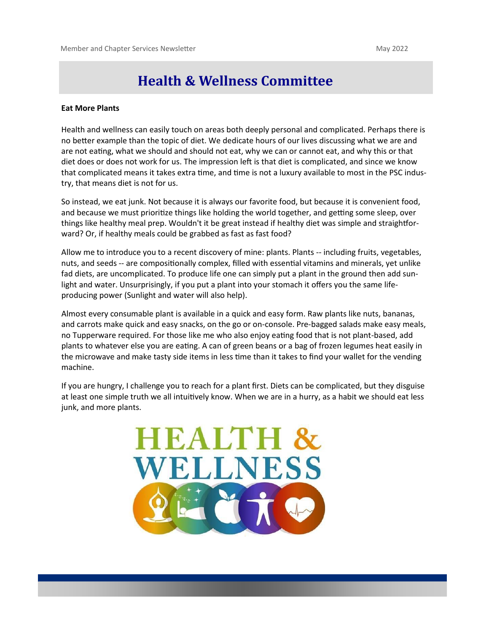# **Health & Wellness Committee**

#### **Eat More Plants**

Health and wellness can easily touch on areas both deeply personal and complicated. Perhaps there is no better example than the topic of diet. We dedicate hours of our lives discussing what we are and are not eating, what we should and should not eat, why we can or cannot eat, and why this or that diet does or does not work for us. The impression left is that diet is complicated, and since we know that complicated means it takes extra time, and time is not a luxury available to most in the PSC industry, that means diet is not for us.

So instead, we eat junk. Not because it is always our favorite food, but because it is convenient food, and because we must prioritize things like holding the world together, and getting some sleep, over things like healthy meal prep. Wouldn't it be great instead if healthy diet was simple and straightforward? Or, if healthy meals could be grabbed as fast as fast food?

Allow me to introduce you to a recent discovery of mine: plants. Plants -- including fruits, vegetables, nuts, and seeds -- are compositionally complex, filled with essential vitamins and minerals, yet unlike fad diets, are uncomplicated. To produce life one can simply put a plant in the ground then add sunlight and water. Unsurprisingly, if you put a plant into your stomach it offers you the same lifeproducing power (Sunlight and water will also help).

Almost every consumable plant is available in a quick and easy form. Raw plants like nuts, bananas, and carrots make quick and easy snacks, on the go or on-console. Pre-bagged salads make easy meals, no Tupperware required. For those like me who also enjoy eating food that is not plant-based, add plants to whatever else you are eating. A can of green beans or a bag of frozen legumes heat easily in the microwave and make tasty side items in less time than it takes to find your wallet for the vending machine.

If you are hungry, I challenge you to reach for a plant first. Diets can be complicated, but they disguise at least one simple truth we all intuitively know. When we are in a hurry, as a habit we should eat less junk, and more plants.

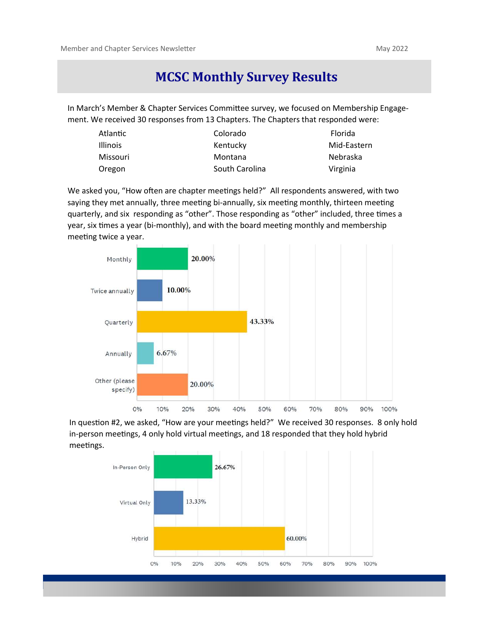# **MCSC Monthly Survey Results**

In March's Member & Chapter Services Committee survey, we focused on Membership Engagement. We received 30 responses from 13 Chapters. The Chapters that responded were:

| Atlantic        | Colorado       | Florida         |
|-----------------|----------------|-----------------|
| <b>Illinois</b> | Kentucky       | Mid-Eastern     |
| Missouri        | Montana        | <b>Nebraska</b> |
| Oregon          | South Carolina | Virginia        |

We asked you, "How often are chapter meetings held?" All respondents answered, with two saying they met annually, three meeting bi-annually, six meeting monthly, thirteen meeting quarterly, and six responding as "other". Those responding as "other" included, three times a year, six times a year (bi-monthly), and with the board meeting monthly and membership meeting twice a year.



In question #2, we asked, "How are your meetings held?" We received 30 responses. 8 only hold in-person meetings, 4 only hold virtual meetings, and 18 responded that they hold hybrid meetings.

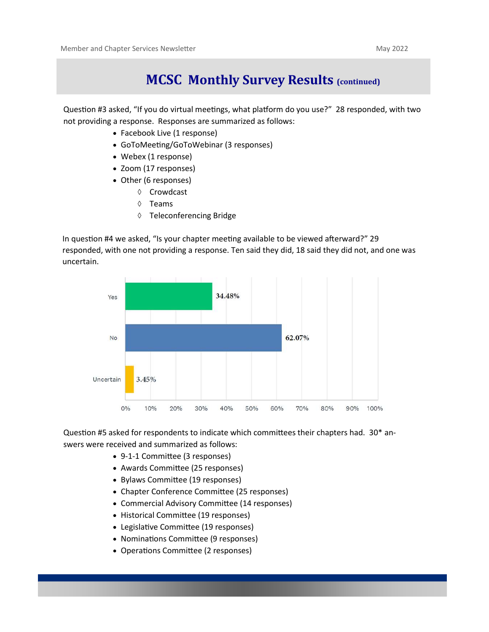Question #3 asked, "If you do virtual meetings, what platform do you use?" 28 responded, with two not providing a response. Responses are summarized as follows:

- Facebook Live (1 response)
- GoToMeeting/GoToWebinar (3 responses)
- Webex (1 response)
- Zoom (17 responses)
- Other (6 responses)
	- ♦ Crowdcast
	- $\lozenge$  Teams
	- Teleconferencing Bridge

In question #4 we asked, "Is your chapter meeting available to be viewed afterward?" 29 responded, with one not providing a response. Ten said they did, 18 said they did not, and one was uncertain.



Question #5 asked for respondents to indicate which committees their chapters had. 30\* answers were received and summarized as follows:

- 9-1-1 Committee (3 responses)
- Awards Committee (25 responses)
- Bylaws Committee (19 responses)
- Chapter Conference Committee (25 responses)
- Commercial Advisory Committee (14 responses)
- Historical Committee (19 responses)
- Legislative Committee (19 responses)
- Nominations Committee (9 responses)
- Operations Committee (2 responses)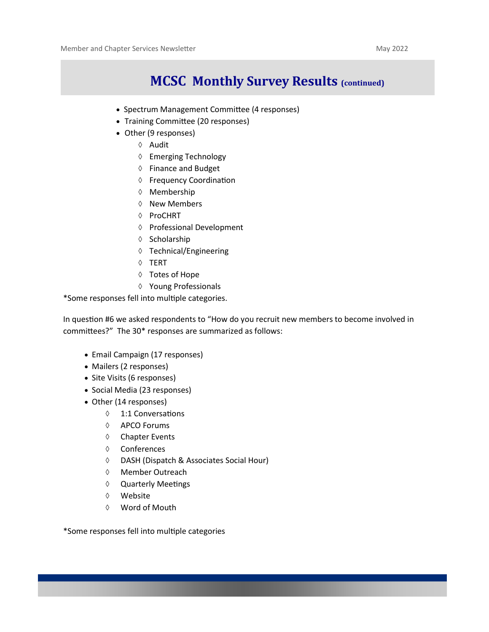- Spectrum Management Committee (4 responses)
- Training Committee (20 responses)
- Other (9 responses)
	- Audit
	- Emerging Technology
	- ♦ Finance and Budget
	- ♦ Frequency Coordination
	- ♦ Membership
	- $\Diamond$  New Members
	- ♦ ProCHRT
	- ♦ Professional Development
	- $\Diamond$  Scholarship
	- Technical/Engineering
	- $\lozenge$  TERT
	- Totes of Hope
	- Young Professionals

\*Some responses fell into multiple categories.

In question #6 we asked respondents to "How do you recruit new members to become involved in committees?" The 30\* responses are summarized as follows:

- Email Campaign (17 responses)
- Mailers (2 responses)
- Site Visits (6 responses)
- Social Media (23 responses)
- Other (14 responses)
	- 1:1 Conversations
	- ♦ APCO Forums
	- Chapter Events
	- Conferences
	- DASH (Dispatch & Associates Social Hour)
	- Member Outreach
	- Quarterly Meetings
	- Website
	- Word of Mouth

\*Some responses fell into multiple categories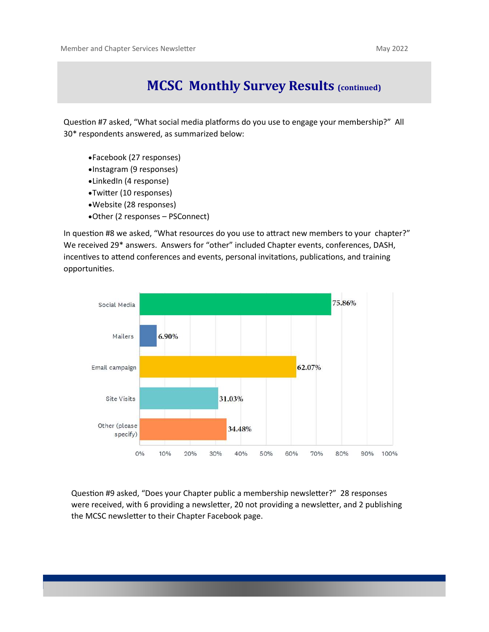Question #7 asked, "What social media platforms do you use to engage your membership?" All 30\* respondents answered, as summarized below:

- Facebook (27 responses)
- Instagram (9 responses)
- LinkedIn (4 response)
- Twitter (10 responses)
- Website (28 responses)
- Other (2 responses PSConnect)

In question #8 we asked, "What resources do you use to attract new members to your chapter?" We received 29\* answers. Answers for "other" included Chapter events, conferences, DASH, incentives to attend conferences and events, personal invitations, publications, and training opportunities.



Question #9 asked, "Does your Chapter public a membership newsletter?" 28 responses were received, with 6 providing a newsletter, 20 not providing a newsletter, and 2 publishing the MCSC newsletter to their Chapter Facebook page.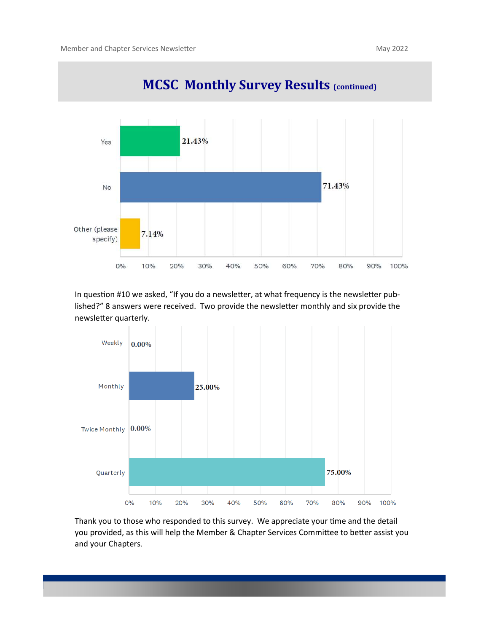

In question #10 we asked, "If you do a newsletter, at what frequency is the newsletter published?" 8 answers were received. Two provide the newsletter monthly and six provide the newsletter quarterly.



Thank you to those who responded to this survey. We appreciate your time and the detail you provided, as this will help the Member & Chapter Services Committee to better assist you and your Chapters.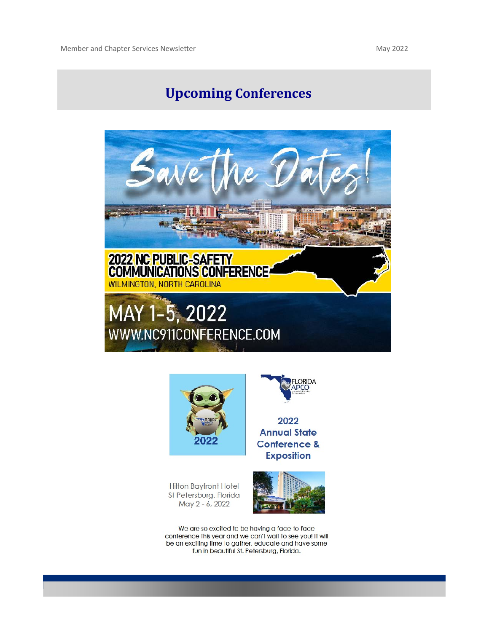# **Upcoming Conferences**







**Hilton Bayfront Hotel** St Petersburg, Florida May 2 - 6, 2022



We are so excited to be having a face-to-face conference this year and we can't wait to see you! It will be an exciting time to gather, educate and have some fun in beautiful St. Petersburg, Florida.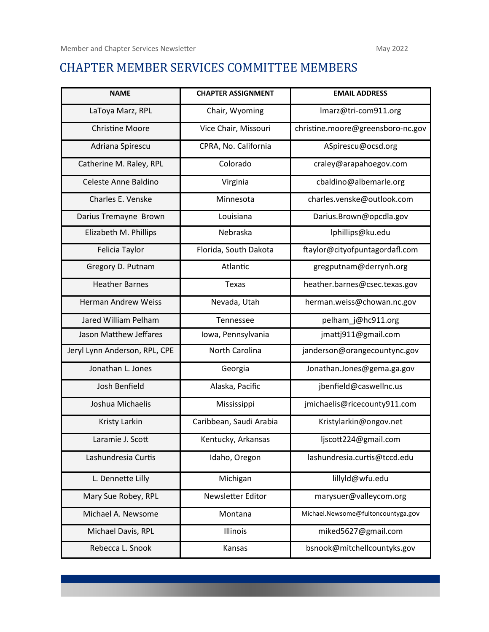#### CHAPTER MEMBER SERVICES COMMITTEE MEMBERS

| <b>NAME</b>                   | <b>CHAPTER ASSIGNMENT</b> | <b>EMAIL ADDRESS</b>               |
|-------------------------------|---------------------------|------------------------------------|
| LaToya Marz, RPL              | Chair, Wyoming            | Imarz@tri-com911.org               |
| <b>Christine Moore</b>        | Vice Chair, Missouri      | christine.moore@greensboro-nc.gov  |
| Adriana Spirescu              | CPRA, No. California      | ASpirescu@ocsd.org                 |
| Catherine M. Raley, RPL       | Colorado                  | craley@arapahoegov.com             |
| Celeste Anne Baldino          | Virginia                  | cbaldino@albemarle.org             |
| Charles E. Venske             | Minnesota                 | charles.venske@outlook.com         |
| Darius Tremayne Brown         | Louisiana                 | Darius.Brown@opcdla.gov            |
| Elizabeth M. Phillips         | Nebraska                  | lphillips@ku.edu                   |
| Felicia Taylor                | Florida, South Dakota     | ftaylor@cityofpuntagordafl.com     |
| Gregory D. Putnam             | Atlantic                  | gregputnam@derrynh.org             |
| <b>Heather Barnes</b>         | <b>Texas</b>              | heather.barnes@csec.texas.gov      |
| <b>Herman Andrew Weiss</b>    | Nevada, Utah              | herman.weiss@chowan.nc.gov         |
| Jared William Pelham          | Tennessee                 | pelham_j@hc911.org                 |
| Jason Matthew Jeffares        | Iowa, Pennsylvania        | jmattj911@gmail.com                |
| Jeryl Lynn Anderson, RPL, CPE | North Carolina            | janderson@orangecountync.gov       |
| Jonathan L. Jones             | Georgia                   | Jonathan.Jones@gema.ga.gov         |
| Josh Benfield                 | Alaska, Pacific           | jbenfield@caswellnc.us             |
| Joshua Michaelis              | Mississippi               | jmichaelis@ricecounty911.com       |
| Kristy Larkin                 | Caribbean, Saudi Arabia   | Kristylarkin@ongov.net             |
| Laramie J. Scott              | Kentucky, Arkansas        | ljscott224@gmail.com               |
| Lashundresia Curtis           | Idaho, Oregon             | lashundresia.curtis@tccd.edu       |
| L. Dennette Lilly             | Michigan                  | lillyld@wfu.edu                    |
| Mary Sue Robey, RPL           | Newsletter Editor         | marysuer@valleycom.org             |
| Michael A. Newsome            | Montana                   | Michael.Newsome@fultoncountyga.gOV |
| Michael Davis, RPL            | Illinois                  | miked5627@gmail.com                |
| Rebecca L. Snook              | Kansas                    | bsnook@mitchellcountyks.gov        |